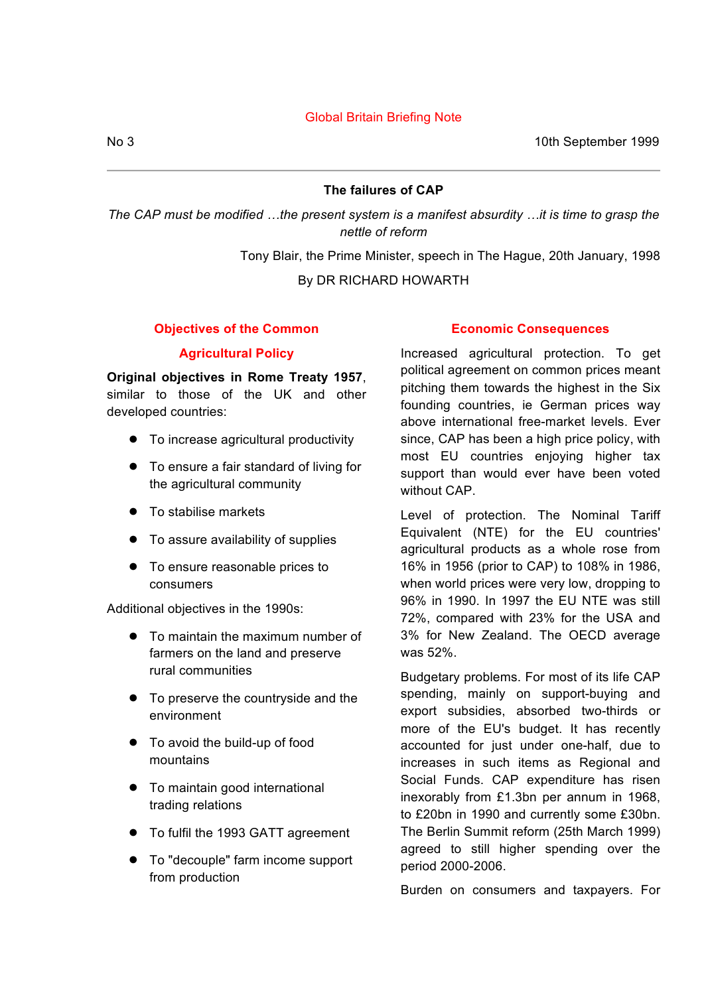## Global Britain Briefing Note

No 3 10th September 1999

# **The failures of CAP**

*The CAP must be modified …the present system is a manifest absurdity …it is time to grasp the nettle of reform*

Tony Blair, the Prime Minister, speech in The Hague, 20th January, 1998

By DR RICHARD HOWARTH

# **Objectives of the Common**

## **Agricultural Policy**

**Original objectives in Rome Treaty 1957**, similar to those of the UK and other developed countries:

- To increase agricultural productivity
- To ensure a fair standard of living for the agricultural community
- To stabilise markets
- To assure availability of supplies
- To ensure reasonable prices to consumers

Additional objectives in the 1990s:

- To maintain the maximum number of farmers on the land and preserve rural communities
- To preserve the countryside and the environment
- To avoid the build-up of food mountains
- To maintain good international trading relations
- To fulfil the 1993 GATT agreement
- To "decouple" farm income support from production

## **Economic Consequences**

Increased agricultural protection. To get political agreement on common prices meant pitching them towards the highest in the Six founding countries, ie German prices way above international free-market levels. Ever since, CAP has been a high price policy, with most EU countries enjoying higher tax support than would ever have been voted without CAP.

Level of protection. The Nominal Tariff Equivalent (NTE) for the EU countries' agricultural products as a whole rose from 16% in 1956 (prior to CAP) to 108% in 1986, when world prices were very low, dropping to 96% in 1990. In 1997 the EU NTE was still 72%, compared with 23% for the USA and 3% for New Zealand. The OECD average was 52%.

Budgetary problems. For most of its life CAP spending, mainly on support-buying and export subsidies, absorbed two-thirds or more of the EU's budget. It has recently accounted for just under one-half, due to increases in such items as Regional and Social Funds. CAP expenditure has risen inexorably from £1.3bn per annum in 1968, to £20bn in 1990 and currently some £30bn. The Berlin Summit reform (25th March 1999) agreed to still higher spending over the period 2000-2006.

Burden on consumers and taxpayers. For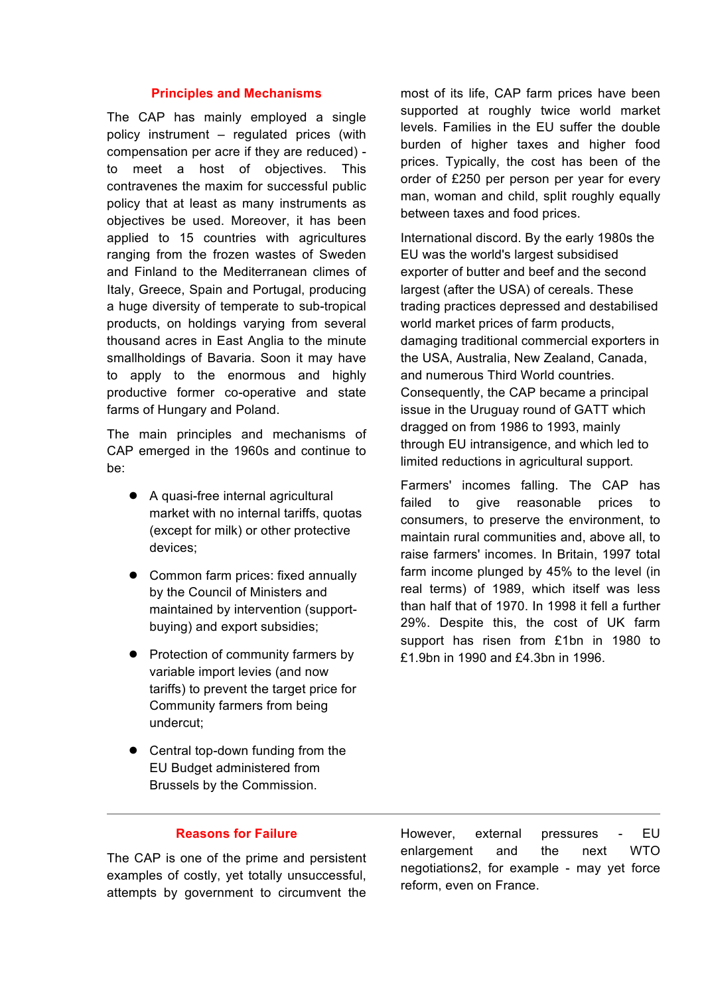#### **Principles and Mechanisms**

The CAP has mainly employed a single policy instrument – regulated prices (with compensation per acre if they are reduced) to meet a host of objectives. This contravenes the maxim for successful public policy that at least as many instruments as objectives be used. Moreover, it has been applied to 15 countries with agricultures ranging from the frozen wastes of Sweden and Finland to the Mediterranean climes of Italy, Greece, Spain and Portugal, producing a huge diversity of temperate to sub-tropical products, on holdings varying from several thousand acres in East Anglia to the minute smallholdings of Bavaria. Soon it may have to apply to the enormous and highly productive former co-operative and state farms of Hungary and Poland.

The main principles and mechanisms of CAP emerged in the 1960s and continue to be:

- A quasi-free internal agricultural market with no internal tariffs, quotas (except for milk) or other protective devices;
- Common farm prices: fixed annually by the Council of Ministers and maintained by intervention (supportbuying) and export subsidies;
- Protection of community farmers by variable import levies (and now tariffs) to prevent the target price for Community farmers from being undercut;
- Central top-down funding from the EU Budget administered from Brussels by the Commission.

most of its life, CAP farm prices have been supported at roughly twice world market levels. Families in the EU suffer the double burden of higher taxes and higher food prices. Typically, the cost has been of the order of £250 per person per year for every man, woman and child, split roughly equally between taxes and food prices.

International discord. By the early 1980s the EU was the world's largest subsidised exporter of butter and beef and the second largest (after the USA) of cereals. These trading practices depressed and destabilised world market prices of farm products, damaging traditional commercial exporters in the USA, Australia, New Zealand, Canada, and numerous Third World countries. Consequently, the CAP became a principal issue in the Uruguay round of GATT which dragged on from 1986 to 1993, mainly through EU intransigence, and which led to limited reductions in agricultural support.

Farmers' incomes falling. The CAP has failed to give reasonable prices to consumers, to preserve the environment, to maintain rural communities and, above all, to raise farmers' incomes. In Britain, 1997 total farm income plunged by 45% to the level (in real terms) of 1989, which itself was less than half that of 1970. In 1998 it fell a further 29%. Despite this, the cost of UK farm support has risen from £1bn in 1980 to £1.9bn in 1990 and £4.3bn in 1996.

# **Reasons for Failure**

The CAP is one of the prime and persistent examples of costly, yet totally unsuccessful, attempts by government to circumvent the However, external pressures - EU enlargement and the next WTO negotiations2, for example - may yet force reform, even on France.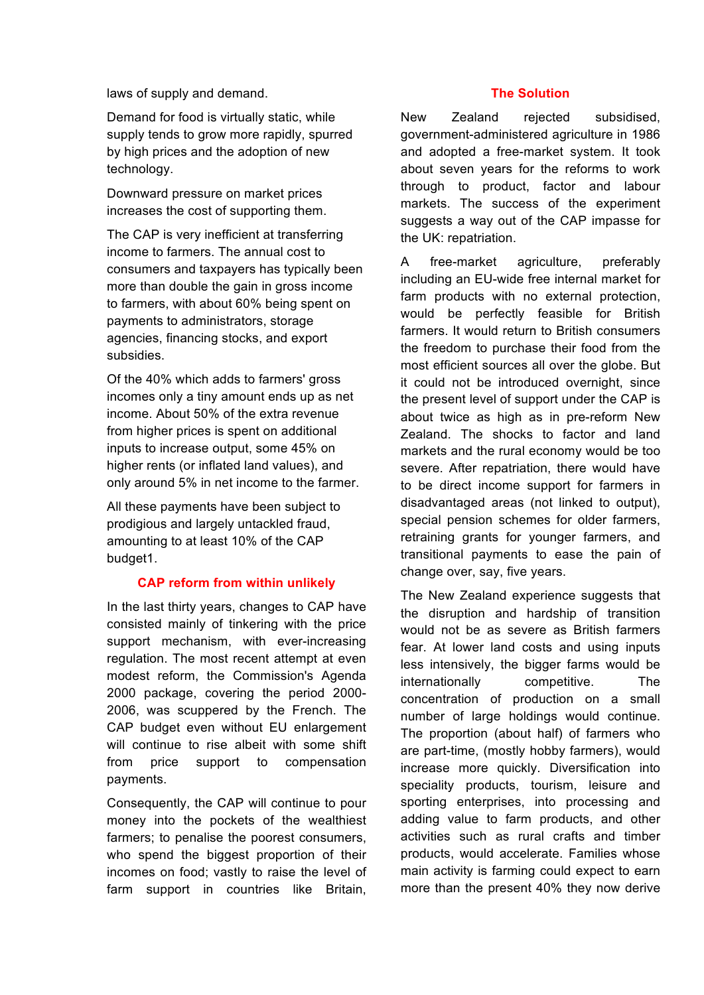laws of supply and demand.

Demand for food is virtually static, while supply tends to grow more rapidly, spurred by high prices and the adoption of new technology.

Downward pressure on market prices increases the cost of supporting them.

The CAP is very inefficient at transferring income to farmers. The annual cost to consumers and taxpayers has typically been more than double the gain in gross income to farmers, with about 60% being spent on payments to administrators, storage agencies, financing stocks, and export subsidies.

Of the 40% which adds to farmers' gross incomes only a tiny amount ends up as net income. About 50% of the extra revenue from higher prices is spent on additional inputs to increase output, some 45% on higher rents (or inflated land values), and only around 5% in net income to the farmer.

All these payments have been subject to prodigious and largely untackled fraud, amounting to at least 10% of the CAP budget1.

## **CAP reform from within unlikely**

In the last thirty years, changes to CAP have consisted mainly of tinkering with the price support mechanism, with ever-increasing regulation. The most recent attempt at even modest reform, the Commission's Agenda 2000 package, covering the period 2000- 2006, was scuppered by the French. The CAP budget even without EU enlargement will continue to rise albeit with some shift from price support to compensation payments.

Consequently, the CAP will continue to pour money into the pockets of the wealthiest farmers; to penalise the poorest consumers, who spend the biggest proportion of their incomes on food; vastly to raise the level of farm support in countries like Britain,

# **The Solution**

New Zealand rejected subsidised, government-administered agriculture in 1986 and adopted a free-market system. It took about seven years for the reforms to work through to product, factor and labour markets. The success of the experiment suggests a way out of the CAP impasse for the UK: repatriation.

A free-market agriculture, preferably including an EU-wide free internal market for farm products with no external protection, would be perfectly feasible for British farmers. It would return to British consumers the freedom to purchase their food from the most efficient sources all over the globe. But it could not be introduced overnight, since the present level of support under the CAP is about twice as high as in pre-reform New Zealand. The shocks to factor and land markets and the rural economy would be too severe. After repatriation, there would have to be direct income support for farmers in disadvantaged areas (not linked to output), special pension schemes for older farmers, retraining grants for younger farmers, and transitional payments to ease the pain of change over, say, five years.

The New Zealand experience suggests that the disruption and hardship of transition would not be as severe as British farmers fear. At lower land costs and using inputs less intensively, the bigger farms would be internationally competitive. The concentration of production on a small number of large holdings would continue. The proportion (about half) of farmers who are part-time, (mostly hobby farmers), would increase more quickly. Diversification into speciality products, tourism, leisure and sporting enterprises, into processing and adding value to farm products, and other activities such as rural crafts and timber products, would accelerate. Families whose main activity is farming could expect to earn more than the present 40% they now derive